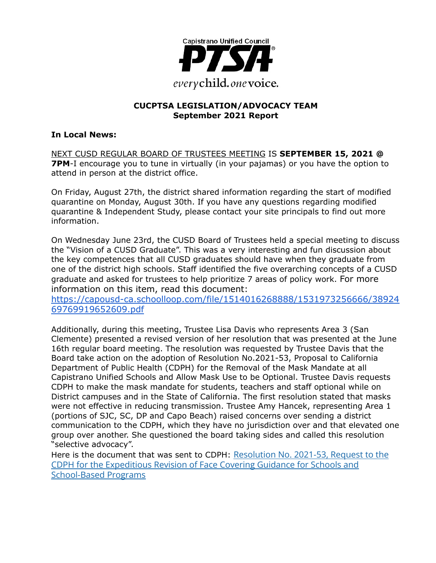

### **CUCPTSA LEGISLATION/ADVOCACY TEAM September 2021 Report**

#### **In Local News:**

NEXT CUSD REGULAR BOARD OF TRUSTEES MEETING IS **SEPTEMBER 15, 2021 @ 7PM**-I encourage you to tune in virtually (in your pajamas) or you have the option to attend in person at the district office.

On Friday, August 27th, the district shared information regarding the start of modified quarantine on Monday, August 30th. If you have any questions regarding modified quarantine & Independent Study, please contact your site principals to find out more information.

On Wednesday June 23rd, the CUSD Board of Trustees held a special meeting to discuss the "Vision of a CUSD Graduate". This was a very interesting and fun discussion about the key competences that all CUSD graduates should have when they graduate from one of the district high schools. Staff identified the five overarching concepts of a CUSD graduate and asked for trustees to help prioritize 7 areas of policy work. For more information on this item, read this document:

[https://capousd-ca.schoolloop.com/file/1514016268888/1531973256666/38924](https://capousd-ca.schoolloop.com/file/1514016268888/1531973256666/3892469769919652609.pdf) [69769919652609.pdf](https://capousd-ca.schoolloop.com/file/1514016268888/1531973256666/3892469769919652609.pdf)

Additionally, during this meeting, Trustee Lisa Davis who represents Area 3 (San Clemente) presented a revised version of her resolution that was presented at the June 16th regular board meeting. The resolution was requested by Trustee Davis that the Board take action on the adoption of Resolution No.2021-53, Proposal to California Department of Public Health (CDPH) for the Removal of the Mask Mandate at all Capistrano Unified Schools and Allow Mask Use to be Optional. Trustee Davis requests CDPH to make the mask mandate for students, teachers and staff optional while on District campuses and in the State of California. The first resolution stated that masks were not effective in reducing transmission. Trustee Amy Hancek, representing Area 1 (portions of SJC, SC, DP and Capo Beach) raised concerns over sending a district communication to the CDPH, which they have no jurisdiction over and that elevated one group over another. She questioned the board taking sides and called this resolution "selective advocacy".

Here is the document that was sent to CDPH: Resolution [No. 2021-53, Request to the](https://capousd-ca.schoolloop.com/file/1514016268888/1531973256666/7493593264125206120.pdf) [CDPH for the Expeditious Revision of Face Covering Guidance for Schools and](https://capousd-ca.schoolloop.com/file/1514016268888/1531973256666/7493593264125206120.pdf) [School-Based Programs](https://capousd-ca.schoolloop.com/file/1514016268888/1531973256666/7493593264125206120.pdf)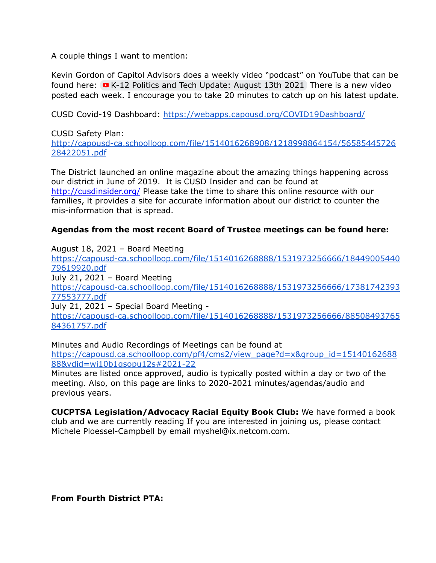A couple things I want to mention:

Kevin Gordon of Capitol Advisors does a weekly video "podcast" on YouTube that can be found here:  $\bullet$  K-12 Politics and Tech [Update:](https://www.youtube.com/watch?v=puRinAZKkAk) August 13th 2021 There is a new video posted each week. I encourage you to take 20 minutes to catch up on his latest update.

CUSD Covid-19 Dashboard: <https://webapps.capousd.org/COVID19Dashboard/>

#### CUSD Safety Plan:

[http://capousd-ca.schoolloop.com/file/1514016268908/1218998864154/56585445726](http://capousd-ca.schoolloop.com/file/1514016268908/1218998864154/5658544572628422051.pdf) [28422051.pdf](http://capousd-ca.schoolloop.com/file/1514016268908/1218998864154/5658544572628422051.pdf)

The District launched an online magazine about the amazing things happening across our district in June of 2019. It is CUSD Insider and can be found at [http://cusdinsider.org/](http://cusdinsider.org/%20) Please take the time to share this online resource with our families, it provides a site for accurate information about our district to counter the mis-information that is spread.

#### **Agendas from the most recent Board of Trustee meetings can be found here:**

August 18, 2021 – Board Meeting

[https://capousd-ca.schoolloop.com/file/1514016268888/1531973256666/18449005440](https://capousd-ca.schoolloop.com/file/1514016268888/1531973256666/1844900544079619920.pdf) [79619920.pdf](https://capousd-ca.schoolloop.com/file/1514016268888/1531973256666/1844900544079619920.pdf)

July 21, 2021 – Board Meeting

[https://capousd-ca.schoolloop.com/file/1514016268888/1531973256666/17381742393](https://capousd-ca.schoolloop.com/file/1514016268888/1531973256666/1738174239377553777.pdf) [77553777.pdf](https://capousd-ca.schoolloop.com/file/1514016268888/1531973256666/1738174239377553777.pdf)

July 21, 2021 – Special Board Meeting -

[https://capousd-ca.schoolloop.com/file/1514016268888/1531973256666/88508493765](https://capousd-ca.schoolloop.com/file/1514016268888/1531973256666/8850849376584361757.pdf) [84361757.pdf](https://capousd-ca.schoolloop.com/file/1514016268888/1531973256666/8850849376584361757.pdf)

Minutes and Audio Recordings of Meetings can be found at [https://capousd.ca.schoolloop.com/pf4/cms2/view\\_page?d=x&group\\_id=15140162688](https://capousd.ca.schoolloop.com/pf4/cms2/view_page?d=x&group_id=1514016268888&vdid=wi10b1qsopu12s#2021-22)

[88&vdid=wi10b1qsopu12s#2021-22](https://capousd.ca.schoolloop.com/pf4/cms2/view_page?d=x&group_id=1514016268888&vdid=wi10b1qsopu12s#2021-22)

Minutes are listed once approved, audio is typically posted within a day or two of the meeting. Also, on this page are links to 2020-2021 minutes/agendas/audio and previous years.

**CUCPTSA Legislation/Advocacy Racial Equity Book Club:** We have formed a book club and we are currently reading If you are interested in joining us, please contact Michele Ploessel-Campbell by email myshel@ix.netcom.com.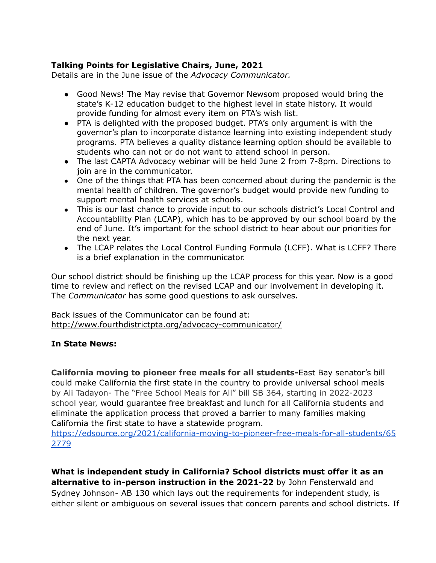### **Talking Points for Legislative Chairs, June, 2021**

Details are in the June issue of the *Advocacy Communicator.*

- Good News! The May revise that Governor Newsom proposed would bring the state's K-12 education budget to the highest level in state history. It would provide funding for almost every item on PTA's wish list.
- PTA is delighted with the proposed budget. PTA's only argument is with the governor's plan to incorporate distance learning into existing independent study programs. PTA believes a quality distance learning option should be available to students who can not or do not want to attend school in person.
- The last CAPTA Advocacy webinar will be held June 2 from 7-8pm. Directions to join are in the communicator.
- One of the things that PTA has been concerned about during the pandemic is the mental health of children. The governor's budget would provide new funding to support mental health services at schools.
- This is our last chance to provide input to our schools district's Local Control and Accountablilty Plan (LCAP), which has to be approved by our school board by the end of June. It's important for the school district to hear about our priorities for the next year.
- The LCAP relates the Local Control Funding Formula (LCFF). What is LCFF? There is a brief explanation in the communicator.

Our school district should be finishing up the LCAP process for this year. Now is a good time to review and reflect on the revised LCAP and our involvement in developing it. The *Communicator* has some good questions to ask ourselves.

Back issues of the Communicator can be found at: <http://www.fourthdistrictpta.org/advocacy-communicator/>

#### **In State News:**

**California moving to pioneer free meals for all students-**East Bay senator's bill could make California the first state in the country to provide universal school meals by Ali Tadayon- The "Free School Meals for All" bill SB 364, starting in 2022-2023 school year, would guarantee free breakfast and lunch for all California students and eliminate the application process that proved a barrier to many families making California the first state to have a statewide program.

[https://edsource.org/2021/california-moving-to-pioneer-free-meals-for-all-students/65](https://edsource.org/2021/california-moving-to-pioneer-free-meals-for-all-students/652779) [2779](https://edsource.org/2021/california-moving-to-pioneer-free-meals-for-all-students/652779)

**What is independent study in California? School districts must offer it as an alternative to in-person instruction in the 2021-22** by John Fensterwald and Sydney Johnson- AB 130 which lays out the requirements for independent study, is either silent or ambiguous on several issues that concern parents and school districts. If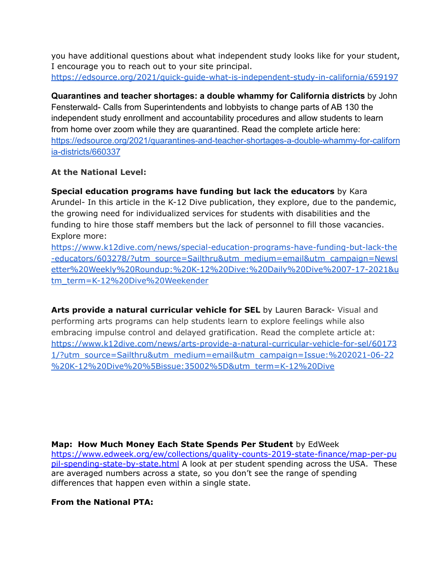you have additional questions about what independent study looks like for your student, I encourage you to reach out to your site principal. <https://edsource.org/2021/quick-guide-what-is-independent-study-in-california/659197>

**Quarantines and teacher shortages: a double whammy for California districts** by John Fensterwald- Calls from Superintendents and lobbyists to change parts of AB 130 the independent study enrollment and accountability procedures and allow students to learn from home over zoom while they are quarantined. Read the complete article here: [https://edsource.org/2021/quarantines-and-teacher-shortages-a-double-whammy-for-californ](https://edsource.org/2021/quarantines-and-teacher-shortages-a-double-whammy-for-california-districts/660337) [ia-districts/660337](https://edsource.org/2021/quarantines-and-teacher-shortages-a-double-whammy-for-california-districts/660337)

# **At the National Level:**

**Special education programs have funding but lack the educators** by Kara Arundel- In this article in the K-12 Dive publication, they explore, due to the pandemic, the growing need for individualized services for students with disabilities and the funding to hire those staff members but the lack of personnel to fill those vacancies. Explore more:

[https://www.k12dive.com/news/special-education-programs-have-funding-but-lack-the](https://www.k12dive.com/news/special-education-programs-have-funding-but-lack-the-educators/603278/?utm_source=Sailthru&utm_medium=email&utm_campaign=Newsletter%20Weekly%20Roundup:%20K-12%20Dive:%20Daily%20Dive%2007-17-2021&utm_term=K-12%20Dive%20Weekender) [-educators/603278/?utm\\_source=Sailthru&utm\\_medium=email&utm\\_campaign=Newsl](https://www.k12dive.com/news/special-education-programs-have-funding-but-lack-the-educators/603278/?utm_source=Sailthru&utm_medium=email&utm_campaign=Newsletter%20Weekly%20Roundup:%20K-12%20Dive:%20Daily%20Dive%2007-17-2021&utm_term=K-12%20Dive%20Weekender) [etter%20Weekly%20Roundup:%20K-12%20Dive:%20Daily%20Dive%2007-17-2021&u](https://www.k12dive.com/news/special-education-programs-have-funding-but-lack-the-educators/603278/?utm_source=Sailthru&utm_medium=email&utm_campaign=Newsletter%20Weekly%20Roundup:%20K-12%20Dive:%20Daily%20Dive%2007-17-2021&utm_term=K-12%20Dive%20Weekender) [tm\\_term=K-12%20Dive%20Weekender](https://www.k12dive.com/news/special-education-programs-have-funding-but-lack-the-educators/603278/?utm_source=Sailthru&utm_medium=email&utm_campaign=Newsletter%20Weekly%20Roundup:%20K-12%20Dive:%20Daily%20Dive%2007-17-2021&utm_term=K-12%20Dive%20Weekender)

**Arts provide a natural curricular vehicle for SEL** by Lauren Barack- Visual and performing arts programs can help students learn to explore feelings while also embracing impulse control and delayed gratification. Read the complete article at: [https://www.k12dive.com/news/arts-provide-a-natural-curricular-vehicle-for-sel/60173](https://www.k12dive.com/news/arts-provide-a-natural-curricular-vehicle-for-sel/601731/?utm_source=Sailthru&utm_medium=email&utm_campaign=Issue:%202021-06-22%20K-12%20Dive%20%5Bissue:35002%5D&utm_term=K-12%20Dive) [1/?utm\\_source=Sailthru&utm\\_medium=email&utm\\_campaign=Issue:%202021-06-22](https://www.k12dive.com/news/arts-provide-a-natural-curricular-vehicle-for-sel/601731/?utm_source=Sailthru&utm_medium=email&utm_campaign=Issue:%202021-06-22%20K-12%20Dive%20%5Bissue:35002%5D&utm_term=K-12%20Dive) [%20K-12%20Dive%20%5Bissue:35002%5D&utm\\_term=K-12%20Dive](https://www.k12dive.com/news/arts-provide-a-natural-curricular-vehicle-for-sel/601731/?utm_source=Sailthru&utm_medium=email&utm_campaign=Issue:%202021-06-22%20K-12%20Dive%20%5Bissue:35002%5D&utm_term=K-12%20Dive)

**Map: How Much Money Each State Spends Per Student** by EdWeek [https://www.edweek.org/ew/collections/quality-counts-2019-state-finance/map-per-pu](https://www.edweek.org/ew/collections/quality-counts-2019-state-finance/map-per-pupil-spending-state-by-state.html) [pil-spending-state-by-state.html](https://www.edweek.org/ew/collections/quality-counts-2019-state-finance/map-per-pupil-spending-state-by-state.html) A look at per student spending across the USA. These are averaged numbers across a state, so you don't see the range of spending differences that happen even within a single state.

# **From the National PTA:**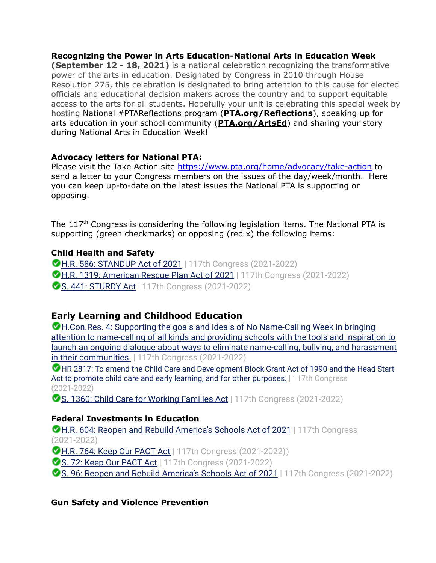**Recognizing the Power in Arts Education-National Arts in Education Week (September 12 - 18, 2021)** is a national celebration recognizing the transformative power of the arts in education. Designated by Congress in 2010 through House Resolution 275, this celebration is designated to bring attention to this cause for elected officials and educational decision makers across the country and to support equitable access to the arts for all students. Hopefully your unit is celebrating this special week by hosting National #PTAReflections program (**[PTA.org/Reflections](https://www.pta.org/home/programs/reflections)**), speaking up for arts education in your school community (**[PTA.org/ArtsEd](https://www.pta.org/home/programs/reflections/artsedtools)**) and sharing your story during National Arts in Education Week!

# **Advocacy letters for National PTA:**

Please visit the Take Action site <https://www.pta.org/home/advocacy/take-action> to send a letter to your Congress members on the issues of the day/week/month. Here you can keep up-to-date on the latest issues the National PTA is supporting or opposing.

The  $117<sup>th</sup>$  Congress is considering the following legislation items. The National PTA is supporting (green checkmarks) or opposing (red x) the following items:

### **Child Health and Safety**

**C H.R. 586: STANDUP Act of 2021** | 117th Congress (2021-2022) **M.R. 1319: American Rescue Plan Act of 2021** | 117th Congress (2021-2022) **S. 441: STURDY Act** | 117th Congress (2021-2022)

# **Early Learning and Childhood Education**

H.Con.Res. 4: Supporting the goals and ideals of No Name-Calling Week in bringing attention to name-calling of all kinds and providing schools with the tools and inspiration to launch an ongoing dialogue about ways to eliminate name-calling, bullying, and harassment in their communities. | 117th Congress (2021-2022)

HR 2817: To amend the Child Care and Development Block Grant Act of 1990 and the Head Start Act to promote child care and early learning, and for other purposes. | 117th Congress (2021-2022)

S. 1360: Child Care for Working Families Act | 117th Congress (2021-2022)

# **Federal Investments in Education**

**M.R. 604: Reopen and Rebuild America's Schools Act of 2021 | 117th Congress** (2021-2022)

**H.R. 764: Keep Our PACT Act** | 117th Congress (2021-2022))

S. 72: Keep Our PACT Act | 117th Congress (2021-2022)

**■ S. 96: Reopen and Rebuild America's Schools Act of 2021** | 117th Congress (2021-2022)

# **Gun Safety and Violence Prevention**